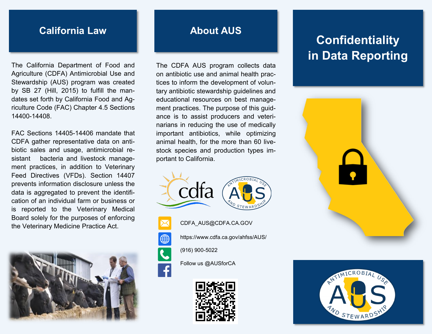### **California Law**

The California Department of Food and Agriculture (CDFA) Antimicrobial Use and Stewardship (AUS) program was created by SB 27 (Hill, 2015) to fulfill the mandates set forth by California Food and Agriculture Code (FAC) Chapter 4.5 Sections 14400-14408.

FAC Sections 14405-14406 mandate that CDFA gather representative data on antibiotic sales and usage, antimicrobial resistant bacteria and livestock management practices, in addition to Veterinary Feed Directives (VFDs). Section 14407 prevents information disclosure unless the data is aggregated to prevent the identification of an individual farm or business or is reported to the Veterinary Medical Board solely for the purposes of enforcing the Veterinary Medicine Practice Act.



#### **About AUS**

The CDFA AUS program collects data on antibiotic use and animal health practices to inform the development of voluntary antibiotic stewardship guidelines and educational resources on best management practices. The purpose of this guidance is to assist producers and veterinarians in reducing the use of medically important antibiotics, while optimizing animal health, for the more than 60 livestock species and production types important to California.





CDFA\_AUS@CDFA.CA.GOV



https://www.cdfa.ca.gov/ahfss/AUS/



Follow us @[AUSforCA](https://www.facebook.com/AUSforCA/)



# **Confidentiality in Data Reporting**